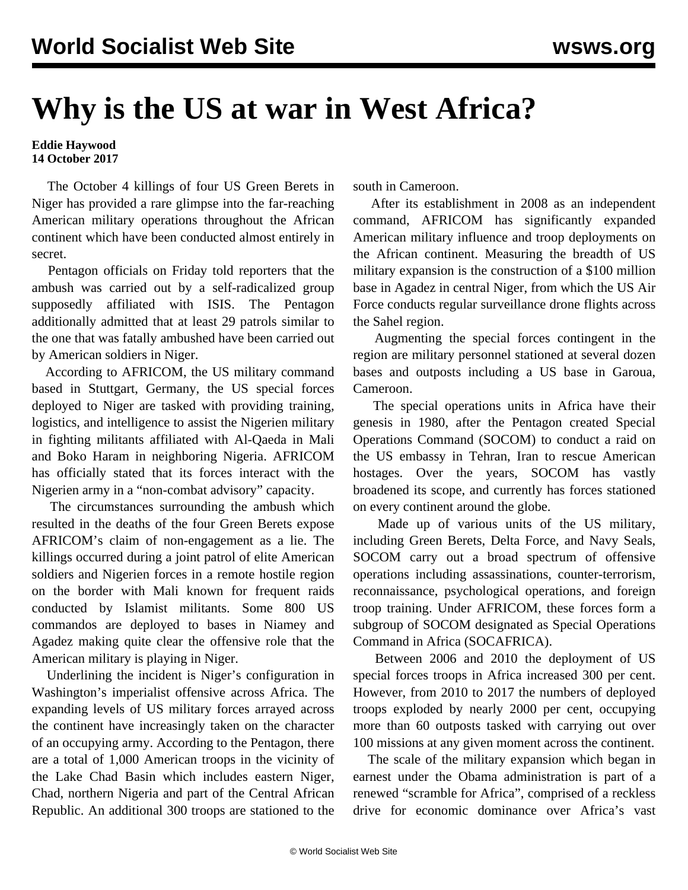## **Why is the US at war in West Africa?**

## **Eddie Haywood 14 October 2017**

 The October 4 killings of four US Green Berets in Niger has provided a rare glimpse into the far-reaching American military operations throughout the African continent which have been conducted almost entirely in secret.

 Pentagon officials on Friday told reporters that the ambush was carried out by a self-radicalized group supposedly affiliated with ISIS. The Pentagon additionally admitted that at least 29 patrols similar to the one that was fatally ambushed have been carried out by American soldiers in Niger.

 According to AFRICOM, the US military command based in Stuttgart, Germany, the US special forces deployed to Niger are tasked with providing training, logistics, and intelligence to assist the Nigerien military in fighting militants affiliated with Al-Qaeda in Mali and Boko Haram in neighboring Nigeria. AFRICOM has officially stated that its forces interact with the Nigerien army in a "non-combat advisory" capacity.

 The circumstances surrounding the ambush which resulted in the deaths of the four Green Berets expose AFRICOM's claim of non-engagement as a lie. The killings occurred during a joint patrol of elite American soldiers and Nigerien forces in a remote hostile region on the border with Mali known for frequent raids conducted by Islamist militants. Some 800 US commandos are deployed to bases in Niamey and Agadez making quite clear the offensive role that the American military is playing in Niger.

 Underlining the incident is Niger's configuration in Washington's imperialist offensive across Africa. The expanding levels of US military forces arrayed across the continent have increasingly taken on the character of an occupying army. According to the Pentagon, there are a total of 1,000 American troops in the vicinity of the Lake Chad Basin which includes eastern Niger, Chad, northern Nigeria and part of the Central African Republic. An additional 300 troops are stationed to the

south in Cameroon.

 After its establishment in 2008 as an independent command, AFRICOM has significantly expanded American military influence and troop deployments on the African continent. Measuring the breadth of US military expansion is the construction of a \$100 million base in Agadez in central Niger, from which the US Air Force conducts regular surveillance drone flights across the Sahel region.

 Augmenting the special forces contingent in the region are military personnel stationed at several dozen bases and outposts including a US base in Garoua, Cameroon.

 The special operations units in Africa have their genesis in 1980, after the Pentagon created Special Operations Command (SOCOM) to conduct a raid on the US embassy in Tehran, Iran to rescue American hostages. Over the years, SOCOM has vastly broadened its scope, and currently has forces stationed on every continent around the globe.

 Made up of various units of the US military, including Green Berets, Delta Force, and Navy Seals, SOCOM carry out a broad spectrum of offensive operations including assassinations, counter-terrorism, reconnaissance, psychological operations, and foreign troop training. Under AFRICOM, these forces form a subgroup of SOCOM designated as Special Operations Command in Africa (SOCAFRICA).

 Between 2006 and 2010 the deployment of US special forces troops in Africa increased 300 per cent. However, from 2010 to 2017 the numbers of deployed troops exploded by nearly 2000 per cent, occupying more than 60 outposts tasked with carrying out over 100 missions at any given moment across the continent.

 The scale of the military expansion which began in earnest under the Obama administration is part of a renewed "scramble for Africa", comprised of a reckless drive for economic dominance over Africa's vast